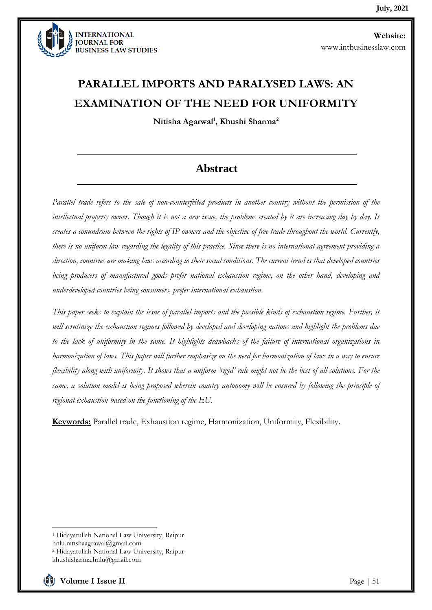

# **PARALLEL IMPORTS AND PARALYSED LAWS: AN EXAMINATION OF THE NEED FOR UNIFORMITY**

**Nitisha Agarwal<sup>1</sup> , Khushi Sharma<sup>2</sup>**

# **Abstract**

*Parallel trade refers to the sale of non-counterfeited products in another country without the permission of the intellectual property owner. Though it is not a new issue, the problems created by it are increasing day by day. It creates a conundrum between the rights of IP owners and the objective of free trade throughout the world. Currently, there is no uniform law regarding the legality of this practice. Since there is no international agreement providing a direction, countries are making laws according to their social conditions. The current trend is that developed countries being producers of manufactured goods prefer national exhaustion regime, on the other hand, developing and underdeveloped countries being consumers, prefer international exhaustion.* 

*This paper seeks to explain the issue of parallel imports and the possible kinds of exhaustion regime. Further, it will scrutinize the exhaustion regimes followed by developed and developing nations and highlight the problems due to the lack of uniformity in the same. It highlights drawbacks of the failure of international organizations in harmonization of laws. This paper will further emphasize on the need for harmonization of laws in a way to ensure flexibility along with uniformity. It shows that a uniform 'rigid' rule might not be the best of all solutions. For the same, a solution model is being proposed wherein country autonomy will be ensured by following the principle of regional exhaustion based on the functioning of the EU.* 

**Keywords:** Parallel trade, Exhaustion regime, Harmonization, Uniformity, Flexibility.

<sup>1</sup> Hidayatullah National Law University, Raipur hnlu.nitishaagrawal@gmail.com <sup>2</sup> Hidayatullah National Law University, Raipur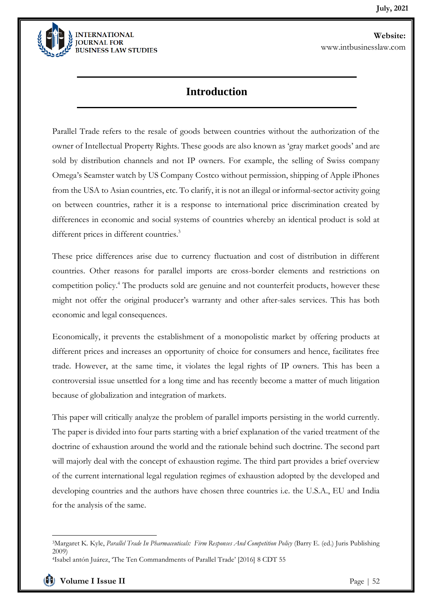

## **Introduction**

Parallel Trade refers to the resale of goods between countries without the authorization of the owner of Intellectual Property Rights. These goods are also known as 'gray market goods' and are sold by distribution channels and not IP owners. For example, the selling of Swiss company Omega's Seamster watch by US Company Costco without permission, shipping of Apple iPhones from the USA to Asian countries, etc. To clarify, it is not an illegal or informal-sector activity going on between countries, rather it is a response to international price discrimination created by differences in economic and social systems of countries whereby an identical product is sold at different prices in different countries.<sup>3</sup>

These price differences arise due to currency fluctuation and cost of distribution in different countries. Other reasons for parallel imports are cross-border elements and restrictions on competition policy.<sup>4</sup> The products sold are genuine and not counterfeit products, however these might not offer the original producer's warranty and other after-sales services. This has both economic and legal consequences.

Economically, it prevents the establishment of a monopolistic market by offering products at different prices and increases an opportunity of choice for consumers and hence, facilitates free trade. However, at the same time, it violates the legal rights of IP owners. This has been a controversial issue unsettled for a long time and has recently become a matter of much litigation because of globalization and integration of markets.

This paper will critically analyze the problem of parallel imports persisting in the world currently. The paper is divided into four parts starting with a brief explanation of the varied treatment of the doctrine of exhaustion around the world and the rationale behind such doctrine. The second part will majorly deal with the concept of exhaustion regime. The third part provides a brief overview of the current international legal regulation regimes of exhaustion adopted by the developed and developing countries and the authors have chosen three countries i.e. the U.S.A., EU and India for the analysis of the same.

<sup>3</sup>Margaret K. Kyle, *Parallel Trade In Pharmaceuticals: Firm Responses And Competition Policy* (Barry E. (ed.) Juris Publishing 2009)

<sup>4</sup>Isabel antón Juárez, 'The Ten Commandments of Parallel Trade' [2016] 8 CDT 55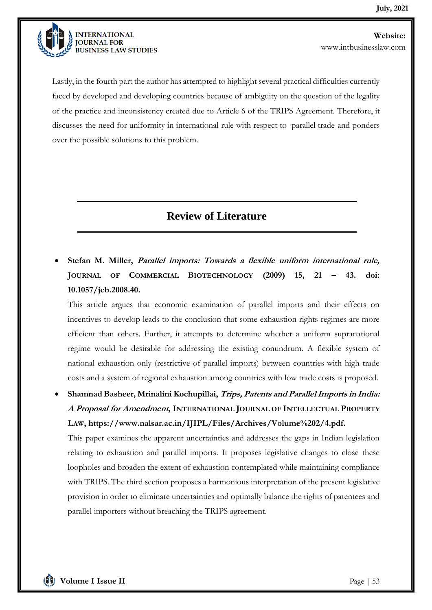

Lastly, in the fourth part the author has attempted to highlight several practical difficulties currently faced by developed and developing countries because of ambiguity on the question of the legality of the practice and inconsistency created due to Article 6 of the TRIPS Agreement. Therefore, it discusses the need for uniformity in international rule with respect to parallel trade and ponders over the possible solutions to this problem.

# **Review of Literature**

• **Stefan M. Miller, Parallel imports: Towards a flexible uniform international rule, JOURNAL OF COMMERCIAL BIOTECHNOLOGY (2009) 15, 21 – 43. doi: 10.1057/jcb.2008.40.**

This article argues that economic examination of parallel imports and their effects on incentives to develop leads to the conclusion that some exhaustion rights regimes are more efficient than others. Further, it attempts to determine whether a uniform supranational regime would be desirable for addressing the existing conundrum. A flexible system of national exhaustion only (restrictive of parallel imports) between countries with high trade costs and a system of regional exhaustion among countries with low trade costs is proposed.

• **Shamnad Basheer, Mrinalini Kochupillai, Trips, Patents and Parallel Imports in India: A Proposal for Amendment, INTERNATIONAL JOURNAL OF INTELLECTUAL PROPERTY LAW, https://www.nalsar.ac.in/IJIPL/Files/Archives/Volume%202/4.pdf.**

This paper examines the apparent uncertainties and addresses the gaps in Indian legislation relating to exhaustion and parallel imports. It proposes legislative changes to close these loopholes and broaden the extent of exhaustion contemplated while maintaining compliance with TRIPS. The third section proposes a harmonious interpretation of the present legislative provision in order to eliminate uncertainties and optimally balance the rights of patentees and parallel importers without breaching the TRIPS agreement.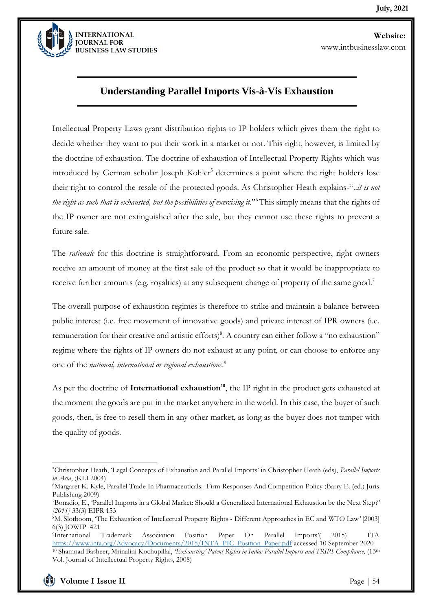

### **Understanding Parallel Imports Vis-à-Vis Exhaustion**

Intellectual Property Laws grant distribution rights to IP holders which gives them the right to decide whether they want to put their work in a market or not. This right, however, is limited by the doctrine of exhaustion. The doctrine of exhaustion of Intellectual Property Rights which was introduced by German scholar Joseph Kohler<sup>5</sup> determines a point where the right holders lose their right to control the resale of the protected goods. As Christopher Heath explains-"..*it is not the right as such that is exhausted, but the possibilities of exercising it.*" <sup>6</sup>This simply means that the rights of the IP owner are not extinguished after the sale, but they cannot use these rights to prevent a future sale.

The *rationale* for this doctrine is straightforward. From an economic perspective, right owners receive an amount of money at the first sale of the product so that it would be inappropriate to receive further amounts (e.g. royalties) at any subsequent change of property of the same good.<sup>7</sup>

The overall purpose of exhaustion regimes is therefore to strike and maintain a balance between public interest (i.e. free movement of innovative goods) and private interest of IPR owners (i.e. remuneration for their creative and artistic efforts)<sup>8</sup>. A country can either follow a "no exhaustion" regime where the rights of IP owners do not exhaust at any point, or can choose to enforce any one of the *national, international or regional exhaustions*. 9

As per the doctrine of **International exhaustion**<sup>10</sup>, the IP right in the product gets exhausted at the moment the goods are put in the market anywhere in the world. In this case, the buyer of such goods, then, is free to resell them in any other market, as long as the buyer does not tamper with the quality of goods.

<sup>5</sup>Christopher Heath, 'Legal Concepts of Exhaustion and Parallel Imports' in Christopher Heath (eds), *Parallel Imports in Asia*, (KLI 2004)

<sup>6</sup>Margaret K. Kyle, Parallel Trade In Pharmaceuticals: Firm Responses And Competition Policy (Barry E. (ed.) Juris Publishing 2009)

<sup>7</sup>Bonadio, E., 'Parallel Imports in a Global Market: Should a Generalized International Exhaustion be the Next Step*?' [2011]* 33(3) EIPR 153

<sup>8</sup>M. Slotboom, 'The Exhaustion of Intellectual Property Rights - Different Approaches in EC and WTO Law*'* [2003] 6(3) JOWIP 421

<sup>9</sup>International Trademark Association Position Paper On Parallel Imports'( 2015) ITA [https://www.inta.org/Advocacy/Documents/2015/INTA\\_PIC\\_Position\\_Paper.pdf](https://www.inta.org/Advocacy/Documents/2015/INTA_PIC_Position_Paper.pdf) accessed 10 September 2020 <sup>10</sup> Shamnad Basheer, Mrinalini Kochupillai, *'Exhausting' Patent Rights in India: Parallel Imports and TRIPS Compliance,* (13th Vol. Journal of Intellectual Property Rights, 2008)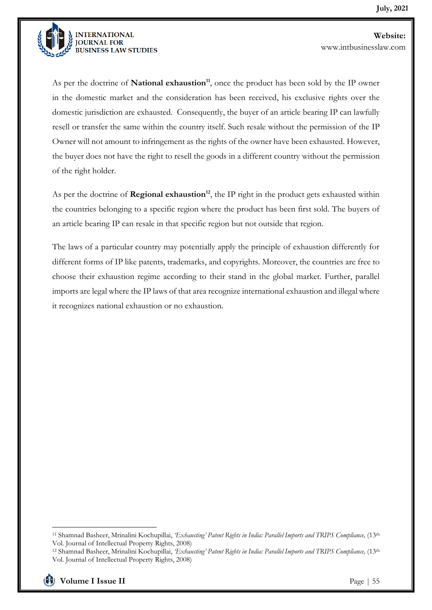

As per the doctrine of **National exhaustion<sup>11</sup>**, once the product has been sold by the IP owner in the domestic market and the consideration has been received, his exclusive rights over the domestic jurisdiction are exhausted. Consequently, the buyer of an article bearing IP can lawfully resell or transfer the same within the country itself. Such resale without the permission of the IP Owner will not amount to infringement as the rights of the owner have been exhausted. However, the buyer does not have the right to resell the goods in a different country without the permission of the right holder.

As per the doctrine of **Regional exhaustion<sup>12</sup>**, the IP right in the product gets exhausted within the countries belonging to a specific region where the product has been first sold. The buyers of an article bearing IP can resale in that specific region but not outside that region.

The laws of a particular country may potentially apply the principle of exhaustion differently for different forms of IP like patents, trademarks, and copyrights. Moreover, the countries are free to choose their exhaustion regime according to their stand in the global market. Further, parallel imports are legal where the IP laws of that area recognize international exhaustion and illegal where it recognizes national exhaustion or no exhaustion.

<sup>11</sup> Shamnad Basheer, Mrinalini Kochupillai, *'Exhausting' Patent Rights in India: Parallel Imports and TRIPS Compliance,* (13th Vol. Journal of Intellectual Property Rights, 2008)

<sup>12</sup> Shamnad Basheer, Mrinalini Kochupillai, *'Exhausting' Patent Rights in India: Parallel Imports and TRIPS Compliance,* (13th Vol. Journal of Intellectual Property Rights, 2008)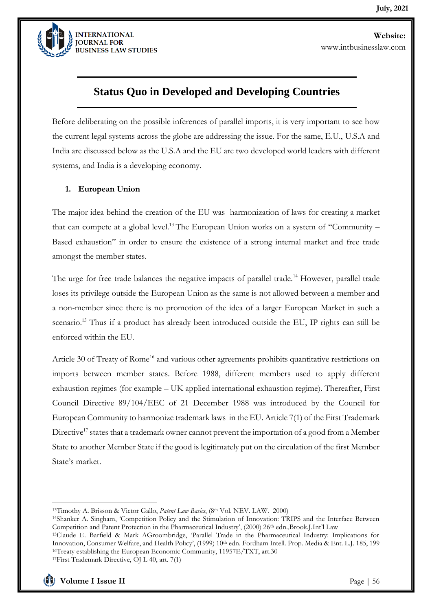

### **Status Quo in Developed and Developing Countries**

Before deliberating on the possible inferences of parallel imports, it is very important to see how the current legal systems across the globe are addressing the issue. For the same, E.U., U.S.A and India are discussed below as the U.S.A and the EU are two developed world leaders with different systems, and India is a developing economy.

#### **1. European Union**

The major idea behind the creation of the EU was harmonization of laws for creating a market that can compete at a global level.<sup>13</sup> The European Union works on a system of "Community – Based exhaustion" in order to ensure the existence of a strong internal market and free trade amongst the member states.

The urge for free trade balances the negative impacts of parallel trade.<sup>14</sup> However, parallel trade loses its privilege outside the European Union as the same is not allowed between a member and a non-member since there is no promotion of the idea of a larger European Market in such a scenario.<sup>15</sup> Thus if a product has already been introduced outside the EU, IP rights can still be enforced within the EU.

Article 30 of Treaty of Rome<sup>16</sup> and various other agreements prohibits quantitative restrictions on imports between member states. Before 1988, different members used to apply different exhaustion regimes (for example – UK applied international exhaustion regime). Thereafter, First Council Directive 89/104/EEC of 21 December 1988 was introduced by the Council for European Community to harmonize trademark laws in the EU. Article 7(1) of the First Trademark Directive<sup>17</sup> states that a trademark owner cannot prevent the importation of a good from a Member State to another Member State if the good is legitimately put on the circulation of the first Member State's market.

<sup>13</sup>Timothy A. Brisson & Victor Gallo, *Patent Law Basics*, (8th Vol. NEV. LAW. 2000)

<sup>&</sup>lt;sup>14</sup>Shanker A. Singham, 'Competition Policy and the Stimulation of Innovation: TRIPS and the Interface Between Competition and Patent Protection in the Pharmaceutical Industry', (2000) 26<sup>th</sup> edn., Brook.J.Int'l Law

<sup>15</sup>Claude E. Barfield & Mark AGroombridge, 'Parallel Trade in the Pharmaceutical Industry: Implications for Innovation, Consumer Welfare, and Health Policy', (1999) 10<sup>th</sup> edn. Fordham Intell. Prop. Media & Ent. L.J. 185, 199 <sup>16</sup>Treaty establishing the European Economic Community, 11957E/TXT, art.30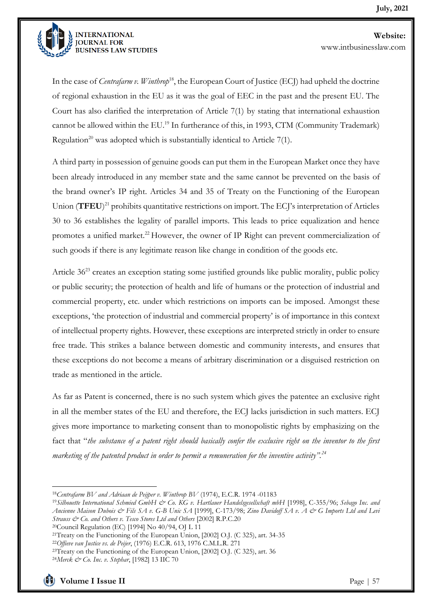

In the case of *Centrafarm v. Winthrop*<sup>18</sup>, the European Court of Justice (ECJ) had upheld the doctrine of regional exhaustion in the EU as it was the goal of EEC in the past and the present EU. The Court has also clarified the interpretation of Article 7(1) by stating that international exhaustion cannot be allowed within the EU.<sup>19</sup> In furtherance of this, in 1993, CTM (Community Trademark) Regulation<sup>20</sup> was adopted which is substantially identical to Article 7(1).

A third party in possession of genuine goods can put them in the European Market once they have been already introduced in any member state and the same cannot be prevented on the basis of the brand owner's IP right. Articles 34 and 35 of Treaty on the Functioning of the European Union (**TFEU**) <sup>21</sup> prohibits quantitative restrictions on import. The ECJ's interpretation of Articles 30 to 36 establishes the legality of parallel imports. This leads to price equalization and hence promotes a unified market.<sup>22</sup> However, the owner of IP Right can prevent commercialization of such goods if there is any legitimate reason like change in condition of the goods etc.

Article 36<sup>23</sup> creates an exception stating some justified grounds like public morality, public policy or public security; the protection of health and life of humans or the protection of industrial and commercial property, etc. under which restrictions on imports can be imposed. Amongst these exceptions, 'the protection of industrial and commercial property' is of importance in this context of intellectual property rights. However, these exceptions are interpreted strictly in order to ensure free trade. This strikes a balance between domestic and community interests, and ensures that these exceptions do not become a means of arbitrary discrimination or a disguised restriction on trade as mentioned in the article.

As far as Patent is concerned, there is no such system which gives the patentee an exclusive right in all the member states of the EU and therefore, the ECJ lacks jurisdiction in such matters. ECJ gives more importance to marketing consent than to monopolistic rights by emphasizing on the fact that "*the substance of a patent right should basically confer the exclusive right on the inventor to the first marketing of the patented product in order to permit a remuneration for the inventive activity".<sup>24</sup>*

<sup>18</sup>*Centrafarm BV and Adriaan de Peijper v. Winthrop BV* (1974), E.C.R. 1974 -01183

<sup>19</sup>*Silhouette International Schmied GmbH & Co. KG v. Hartlauer Handelsgesellschaft mbH* [1998], C-355/96; *Sebago Inc. and Ancienne Maison Dubois & Fils SA v. G-B Unic SA* [1999], C-173/98; *Zino Davidoff SA v. A & G Imports Ltd and Levi Strauss & Co. and Others v. Tesco Stores Ltd and Others* [2002] R.P.C.20

<sup>20</sup>Council Regulation (EC) [1994] No 40/94, OJ L 11

<sup>21</sup>Treaty on the Functioning of the European Union, [2002] O.J. (C 325), art. 34-35

<sup>22</sup>*Offieve van Justice vs. de Peijer*, (1976) E.C.R. 613, 1976 C.M.L.R. 271

 $23$ Treaty on the Functioning of the European Union, [2002] O.J. (C 325), art. 36

<sup>24</sup>*Merck & Co. Inc. v. Stephar*, [1982] 13 IIC 70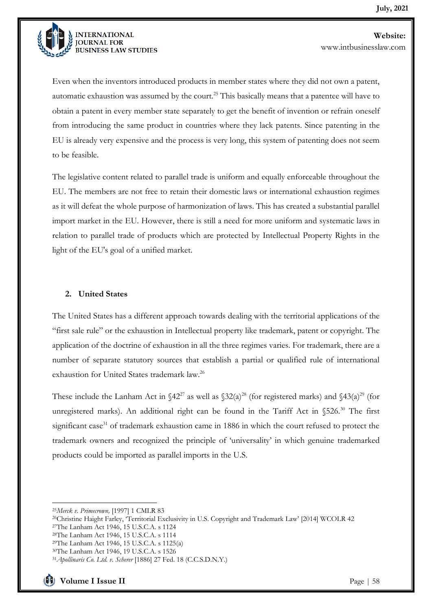

Even when the inventors introduced products in member states where they did not own a patent, automatic exhaustion was assumed by the court.<sup>25</sup> This basically means that a patentee will have to obtain a patent in every member state separately to get the benefit of invention or refrain oneself from introducing the same product in countries where they lack patents. Since patenting in the EU is already very expensive and the process is very long, this system of patenting does not seem to be feasible.

The legislative content related to parallel trade is uniform and equally enforceable throughout the EU. The members are not free to retain their domestic laws or international exhaustion regimes as it will defeat the whole purpose of harmonization of laws. This has created a substantial parallel import market in the EU. However, there is still a need for more uniform and systematic laws in relation to parallel trade of products which are protected by Intellectual Property Rights in the light of the EU's goal of a unified market.

#### **2. United States**

The United States has a different approach towards dealing with the territorial applications of the "first sale rule" or the exhaustion in Intellectual property like trademark, patent or copyright. The application of the doctrine of exhaustion in all the three regimes varies. For trademark, there are a number of separate statutory sources that establish a partial or qualified rule of international exhaustion for United States trademark law.<sup>26</sup>

These include the Lanham Act in  $\frac{2^{27}}{8}$  as well as  $\frac{22}{a}$  (for registered marks) and  $\frac{43(a)^{29}}{6}$  (for unregistered marks). An additional right can be found in the Tariff Act in  $$526<sup>30</sup>$  The first significant case<sup>31</sup> of trademark exhaustion came in 1886 in which the court refused to protect the trademark owners and recognized the principle of 'universality' in which genuine trademarked products could be imported as parallel imports in the U.S.

<sup>25</sup>*Merck v. Primecrown,* [1997] 1 CMLR 83

<sup>26</sup>Christine Haight Farley, 'Territorial Exclusivity in U.S. Copyright and Trademark Law' [2014] WCOLR 42

<sup>27</sup>The Lanham Act 1946, 15 U.S.C.A. s 1124

<sup>28</sup>The Lanham Act 1946, 15 U.S.C.A. s 1114

<sup>29</sup>The Lanham Act 1946, 15 U.S.C.A. s 1125(a)

<sup>30</sup>The Lanham Act 1946, 19 U.S.C.A. s 1526

<sup>31</sup>*Apollinaris Co. Ltd. v. Scherer* [1886] 27 Fed. 18 (C.C.S.D.N.Y.)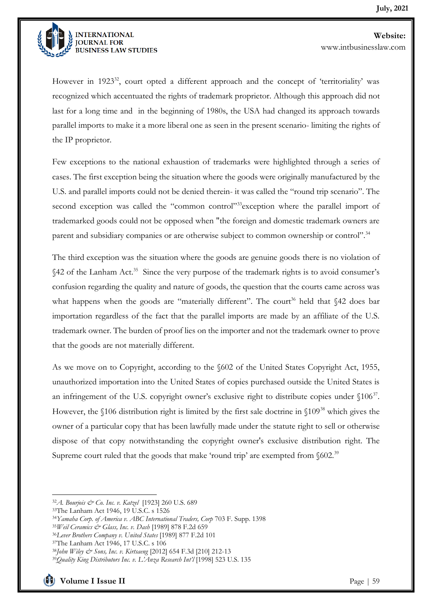

However in  $1923^{32}$ , court opted a different approach and the concept of 'territoriality' was recognized which accentuated the rights of trademark proprietor. Although this approach did not last for a long time and in the beginning of 1980s, the USA had changed its approach towards parallel imports to make it a more liberal one as seen in the present scenario- limiting the rights of the IP proprietor.

Few exceptions to the national exhaustion of trademarks were highlighted through a series of cases. The first exception being the situation where the goods were originally manufactured by the U.S. and parallel imports could not be denied therein- it was called the "round trip scenario". The second exception was called the "common control"<sup>33</sup>exception where the parallel import of trademarked goods could not be opposed when "the foreign and domestic trademark owners are parent and subsidiary companies or are otherwise subject to common ownership or control".<sup>34</sup>

The third exception was the situation where the goods are genuine goods there is no violation of §42 of the Lanham Act.<sup>35</sup> Since the very purpose of the trademark rights is to avoid consumer's confusion regarding the quality and nature of goods, the question that the courts came across was what happens when the goods are "materially different". The court<sup>36</sup> held that  $\frac{42}{2}$  does bar importation regardless of the fact that the parallel imports are made by an affiliate of the U.S. trademark owner. The burden of proof lies on the importer and not the trademark owner to prove that the goods are not materially different.

As we move on to Copyright, according to the §602 of the United States Copyright Act, 1955, unauthorized importation into the United States of copies purchased outside the United States is an infringement of the U.S. copyright owner's exclusive right to distribute copies under  $$106^{37}$ . However, the §106 distribution right is limited by the first sale doctrine in §109<sup>38</sup> which gives the owner of a particular copy that has been lawfully made under the statute right to sell or otherwise dispose of that copy notwithstanding the copyright owner's exclusive distribution right. The Supreme court ruled that the goods that make 'round trip' are exempted from  $\delta$ 602.<sup>39</sup>

<sup>32</sup>*A. Bourjois & Co. Inc. v. Katzel* [1923] 260 U.S. 689

<sup>33</sup>The Lanham Act 1946, 19 U.S.C. s 1526

<sup>34</sup>*Yamaha Corp. of America v. ABC International Traders, Corp* 703 F. Supp. 1398

<sup>35</sup>*Weil Ceramics & Glass, Inc. v. Dash* [1989] 878 F.2d 659

<sup>36</sup>*Lever Brothers Company v. United States* [1989] 877 F.2d 101

<sup>37</sup>The Lanham Act 1946, 17 U.S.C. s 106

<sup>38</sup>*John Wiley & Sons, Inc. v. Kirtsaeng* [2012] 654 F.3d [210] 212-13

<sup>39</sup>*Quality King Distributors Inc. v. L'Anza Research Int'l* [1998] 523 U.S. 135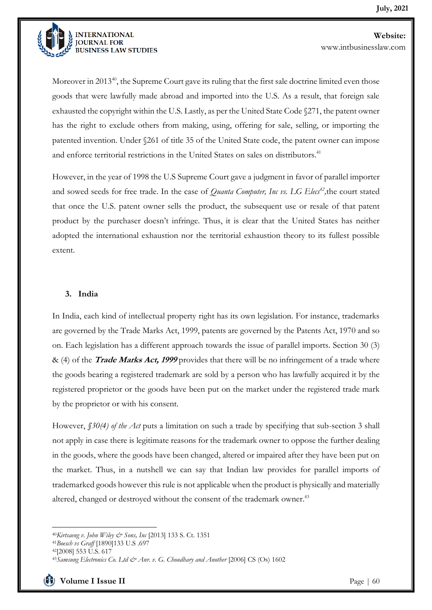

Moreover in 2013 $^{40}$ , the Supreme Court gave its ruling that the first sale doctrine limited even those goods that were lawfully made abroad and imported into the U.S. As a result, that foreign sale exhausted the copyright within the U.S. Lastly, as per the United State Code §271, the patent owner has the right to exclude others from making, using, offering for sale, selling, or importing the patented invention. Under §261 of title 35 of the United State code, the patent owner can impose and enforce territorial restrictions in the United States on sales on distributors.<sup>41</sup>

However, in the year of 1998 the U.S Supreme Court gave a judgment in favor of parallel importer and sowed seeds for free trade. In the case of *Quanta Computer, Inc vs. LG Elecs<sup>42</sup> ,*the court stated that once the U.S. patent owner sells the product, the subsequent use or resale of that patent product by the purchaser doesn't infringe. Thus, it is clear that the United States has neither adopted the international exhaustion nor the territorial exhaustion theory to its fullest possible extent.

#### **3. India**

In India, each kind of intellectual property right has its own legislation. For instance, trademarks are governed by the Trade Marks Act, 1999, patents are governed by the Patents Act, 1970 and so on. Each legislation has a different approach towards the issue of parallel imports. Section 30 (3) & (4) of the **Trade Marks Act, 1999** provides that there will be no infringement of a trade where the goods bearing a registered trademark are sold by a person who has lawfully acquired it by the registered proprietor or the goods have been put on the market under the registered trade mark by the proprietor or with his consent.

However, *§30(4) of the Act* puts a limitation on such a trade by specifying that sub-section 3 shall not apply in case there is legitimate reasons for the trademark owner to oppose the further dealing in the goods, where the goods have been changed, altered or impaired after they have been put on the market. Thus, in a nutshell we can say that Indian law provides for parallel imports of trademarked goods however this rule is not applicable when the product is physically and materially altered, changed or destroyed without the consent of the trademark owner.<sup>43</sup>

<sup>40</sup>*Kirtsaeng v. John Wiley & Sons, Inc* [2013] 133 S. Ct. 1351

<sup>41</sup>*Boesch vs Graff* [1890]133 U.S .697

<sup>42</sup>[2008] 553 U.S. 617

<sup>&</sup>lt;sup>43</sup> Samsung Electronics Co. Ltd & Anr. v. G. Choudhary and Another [2006] CS (Os) 1602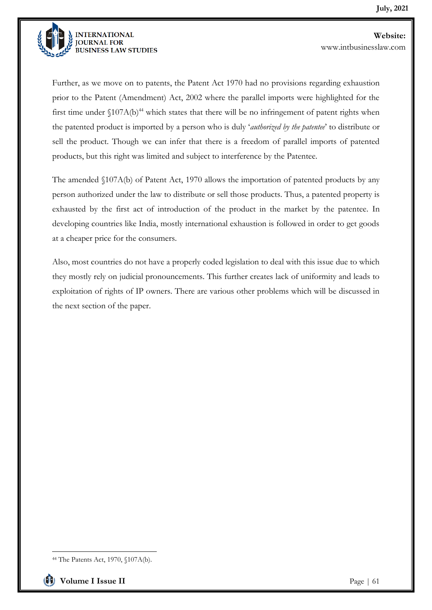

Further, as we move on to patents, the Patent Act 1970 had no provisions regarding exhaustion prior to the Patent (Amendment) Act, 2002 where the parallel imports were highlighted for the first time under  $$107A(b)<sup>44</sup>$  which states that there will be no infringement of patent rights when the patented product is imported by a person who is duly '*authorized by the patentee*' to distribute or sell the product. Though we can infer that there is a freedom of parallel imports of patented products, but this right was limited and subject to interference by the Patentee.

The amended §107A(b) of Patent Act, 1970 allows the importation of patented products by any person authorized under the law to distribute or sell those products. Thus, a patented property is exhausted by the first act of introduction of the product in the market by the patentee. In developing countries like India, mostly international exhaustion is followed in order to get goods at a cheaper price for the consumers.

Also, most countries do not have a properly coded legislation to deal with this issue due to which they mostly rely on judicial pronouncements. This further creates lack of uniformity and leads to exploitation of rights of IP owners. There are various other problems which will be discussed in the next section of the paper.

<sup>44</sup> The Patents Act, 1970, §107A(b).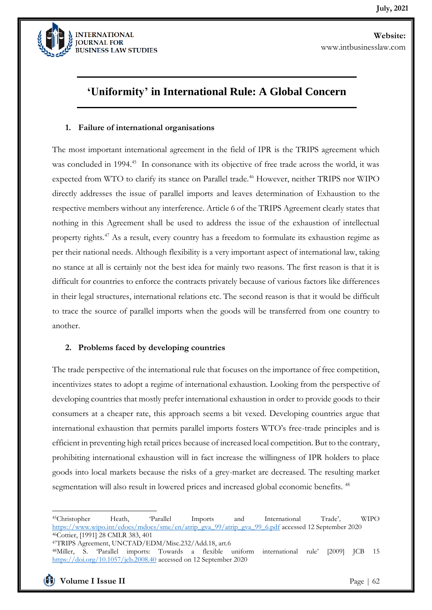

# **'Uniformity' in International Rule: A Global Concern**

#### **1. Failure of international organisations**

The most important international agreement in the field of IPR is the TRIPS agreement which was concluded in 1994.<sup>45</sup> In consonance with its objective of free trade across the world, it was expected from WTO to clarify its stance on Parallel trade.<sup>46</sup> However, neither TRIPS nor WIPO directly addresses the issue of parallel imports and leaves determination of Exhaustion to the respective members without any interference. Article 6 of the TRIPS Agreement clearly states that nothing in this Agreement shall be used to address the issue of the exhaustion of intellectual property rights.<sup>47</sup> As a result, every country has a freedom to formulate its exhaustion regime as per their national needs. Although flexibility is a very important aspect of international law, taking no stance at all is certainly not the best idea for mainly two reasons. The first reason is that it is difficult for countries to enforce the contracts privately because of various factors like differences in their legal structures, international relations etc. The second reason is that it would be difficult to trace the source of parallel imports when the goods will be transferred from one country to another.

#### **2. Problems faced by developing countries**

The trade perspective of the international rule that focuses on the importance of free competition, incentivizes states to adopt a regime of international exhaustion. Looking from the perspective of developing countries that mostly prefer international exhaustion in order to provide goods to their consumers at a cheaper rate, this approach seems a bit vexed. Developing countries argue that international exhaustion that permits parallel imports fosters WTO's free-trade principles and is efficient in preventing high retail prices because of increased local competition. But to the contrary, prohibiting international exhaustion will in fact increase the willingness of IPR holders to place goods into local markets because the risks of a grey-market are decreased. The resulting market segmentation will also result in lowered prices and increased global economic benefits.<sup>48</sup>

<sup>45</sup>Christopher Heath, 'Parallel Imports and International Trade'*,* WIPO [https://www.wipo.int/edocs/mdocs/sme/en/atrip\\_gva\\_99/atrip\\_gva\\_99\\_6.pdf](https://www.wipo.int/edocs/mdocs/sme/en/atrip_gva_99/atrip_gva_99_6.pdf) accessed 12 September 2020 <sup>46</sup>Cottier, [1991] 28 CMLR 383, 401

<sup>47</sup>TRIPS Agreement, UNCTAD/EDM/Misc.232/Add.18, art.6

<sup>48</sup>Miller, S. 'Parallel imports: Towards a flexible uniform international rule' [2009] JCB 15 <https://doi.org/10.1057/jcb.2008.40> accessed on 12 September 2020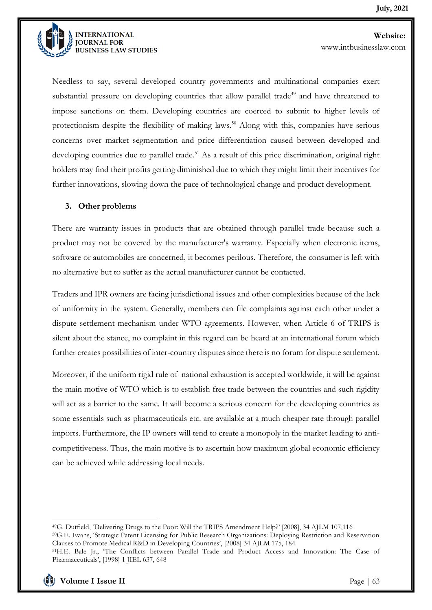

**JOURNAL FOR BUSINESS LAW STUDIES**  **Website:**  www.intbusinesslaw.com

Needless to say, several developed country governments and multinational companies exert substantial pressure on developing countries that allow parallel trade<sup>49</sup> and have threatened to impose sanctions on them. Developing countries are coerced to submit to higher levels of protectionism despite the flexibility of making laws.<sup>50</sup> Along with this, companies have serious concerns over market segmentation and price differentiation caused between developed and developing countries due to parallel trade.<sup>51</sup> As a result of this price discrimination, original right holders may find their profits getting diminished due to which they might limit their incentives for further innovations, slowing down the pace of technological change and product development.

#### **3. Other problems**

There are warranty issues in products that are obtained through parallel trade because such a product may not be covered by the manufacturer's warranty. Especially when electronic items, software or automobiles are concerned, it becomes perilous. Therefore, the consumer is left with no alternative but to suffer as the actual manufacturer cannot be contacted.

Traders and IPR owners are facing jurisdictional issues and other complexities because of the lack of uniformity in the system. Generally, members can file complaints against each other under a dispute settlement mechanism under WTO agreements. However, when Article 6 of TRIPS is silent about the stance, no complaint in this regard can be heard at an international forum which further creates possibilities of inter-country disputes since there is no forum for dispute settlement.

Moreover, if the uniform rigid rule of national exhaustion is accepted worldwide, it will be against the main motive of WTO which is to establish free trade between the countries and such rigidity will act as a barrier to the same. It will become a serious concern for the developing countries as some essentials such as pharmaceuticals etc. are available at a much cheaper rate through parallel imports. Furthermore, the IP owners will tend to create a monopoly in the market leading to anticompetitiveness. Thus, the main motive is to ascertain how maximum global economic efficiency can be achieved while addressing local needs.

<sup>49</sup>G. Dutfield, 'Delivering Drugs to the Poor: Will the TRIPS Amendment Help?' [2008], 34 AJLM 107,116

<sup>50</sup>G.E. Evans, 'Strategic Patent Licensing for Public Research Organizations: Deploying Restriction and Reservation Clauses to Promote Medical R&D in Developing Countries', [2008] 34 AJLM 175, 184

<sup>51</sup>H.E. Bale Jr., 'The Conflicts between Parallel Trade and Product Access and Innovation: The Case of Pharmaceuticals', [1998] 1 JIEL 637, 648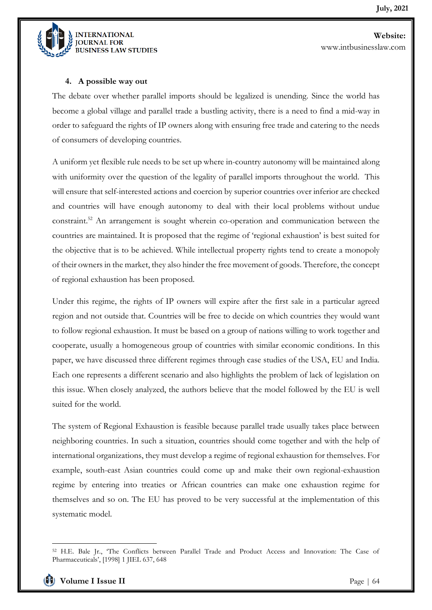

#### **4. A possible way out**

The debate over whether parallel imports should be legalized is unending. Since the world has become a global village and parallel trade a bustling activity, there is a need to find a mid-way in order to safeguard the rights of IP owners along with ensuring free trade and catering to the needs of consumers of developing countries.

A uniform yet flexible rule needs to be set up where in-country autonomy will be maintained along with uniformity over the question of the legality of parallel imports throughout the world. This will ensure that self-interested actions and coercion by superior countries over inferior are checked and countries will have enough autonomy to deal with their local problems without undue constraint.<sup>52</sup> An arrangement is sought wherein co-operation and communication between the countries are maintained. It is proposed that the regime of 'regional exhaustion' is best suited for the objective that is to be achieved. While intellectual property rights tend to create a monopoly of their owners in the market, they also hinder the free movement of goods. Therefore, the concept of regional exhaustion has been proposed.

Under this regime, the rights of IP owners will expire after the first sale in a particular agreed region and not outside that. Countries will be free to decide on which countries they would want to follow regional exhaustion. It must be based on a group of nations willing to work together and cooperate, usually a homogeneous group of countries with similar economic conditions. In this paper, we have discussed three different regimes through case studies of the USA, EU and India. Each one represents a different scenario and also highlights the problem of lack of legislation on this issue. When closely analyzed, the authors believe that the model followed by the EU is well suited for the world.

The system of Regional Exhaustion is feasible because parallel trade usually takes place between neighboring countries. In such a situation, countries should come together and with the help of international organizations, they must develop a regime of regional exhaustion for themselves. For example, south-east Asian countries could come up and make their own regional-exhaustion regime by entering into treaties or African countries can make one exhaustion regime for themselves and so on. The EU has proved to be very successful at the implementation of this systematic model.

<sup>52</sup> H.E. Bale Jr., 'The Conflicts between Parallel Trade and Product Access and Innovation: The Case of Pharmaceuticals', [1998] 1 JIEL 637, 648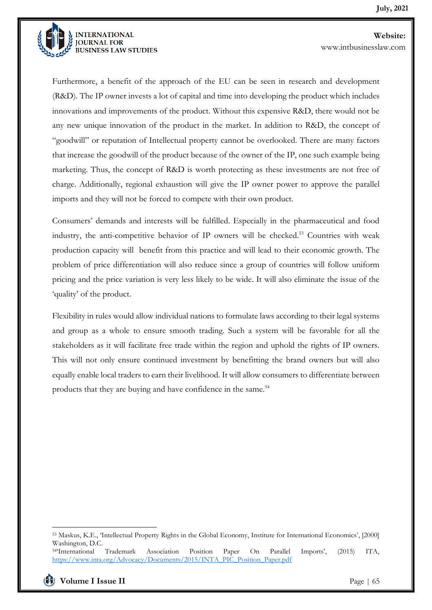

Furthermore, a benefit of the approach of the EU can be seen in research and development (R&D). The IP owner invests a lot of capital and time into developing the product which includes innovations and improvements of the product. Without this expensive R&D, there would not be any new unique innovation of the product in the market. In addition to R&D, the concept of "goodwill" or reputation of Intellectual property cannot be overlooked. There are many factors that increase the goodwill of the product because of the owner of the IP, one such example being marketing. Thus, the concept of R&D is worth protecting as these investments are not free of charge. Additionally, regional exhaustion will give the IP owner power to approve the parallel imports and they will not be forced to compete with their own product.

Consumers' demands and interests will be fulfilled. Especially in the pharmaceutical and food industry, the anti-competitive behavior of IP owners will be checked.<sup>53</sup> Countries with weak production capacity will benefit from this practice and will lead to their economic growth. The problem of price differentiation will also reduce since a group of countries will follow uniform pricing and the price variation is very less likely to be wide. It will also eliminate the issue of the 'quality' of the product.

Flexibility in rules would allow individual nations to formulate laws according to their legal systems and group as a whole to ensure smooth trading. Such a system will be favorable for all the stakeholders as it will facilitate free trade within the region and uphold the rights of IP owners. This will not only ensure continued investment by benefitting the brand owners but will also equally enable local traders to earn their livelihood. It will allow consumers to differentiate between products that they are buying and have confidence in the same.<sup>54</sup>

<sup>53</sup> Maskus, K.E., 'Intellectual Property Rights in the Global Economy, Institute for International Economics', [2000] Washington, D.C.

<sup>54</sup>'International Trademark Association Position Paper On Parallel Imports', (2015) ITA, [https://www.inta.org/Advocacy/Documents/2015/INTA\\_PIC\\_Position\\_Paper.pdf](https://www.inta.org/Advocacy/Documents/2015/INTA_PIC_Position_Paper.pdf)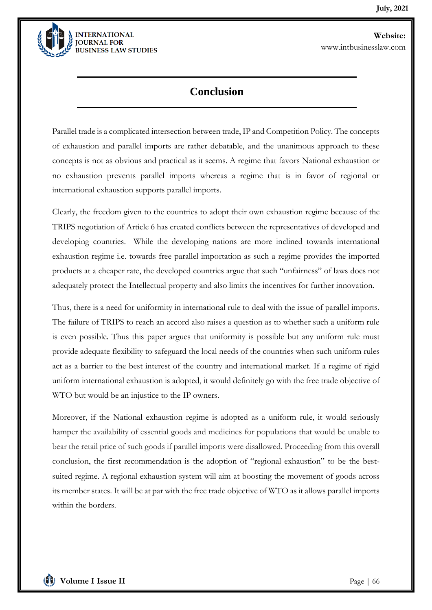

### **Conclusion**

Parallel trade is a complicated intersection between trade, IP and Competition Policy. The concepts of exhaustion and parallel imports are rather debatable, and the unanimous approach to these concepts is not as obvious and practical as it seems. A regime that favors National exhaustion or no exhaustion prevents parallel imports whereas a regime that is in favor of regional or international exhaustion supports parallel imports.

Clearly, the freedom given to the countries to adopt their own exhaustion regime because of the TRIPS negotiation of Article 6 has created conflicts between the representatives of developed and developing countries. While the developing nations are more inclined towards international exhaustion regime i.e. towards free parallel importation as such a regime provides the imported products at a cheaper rate, the developed countries argue that such "unfairness" of laws does not adequately protect the Intellectual property and also limits the incentives for further innovation.

Thus, there is a need for uniformity in international rule to deal with the issue of parallel imports. The failure of TRIPS to reach an accord also raises a question as to whether such a uniform rule is even possible. Thus this paper argues that uniformity is possible but any uniform rule must provide adequate flexibility to safeguard the local needs of the countries when such uniform rules act as a barrier to the best interest of the country and international market. If a regime of rigid uniform international exhaustion is adopted, it would definitely go with the free trade objective of WTO but would be an injustice to the IP owners.

Moreover, if the National exhaustion regime is adopted as a uniform rule, it would seriously hamper the availability of essential goods and medicines for populations that would be unable to bear the retail price of such goods if parallel imports were disallowed. Proceeding from this overall conclusion, the first recommendation is the adoption of "regional exhaustion" to be the bestsuited regime. A regional exhaustion system will aim at boosting the movement of goods across its member states. It will be at par with the free trade objective of WTO as it allows parallel imports within the borders.